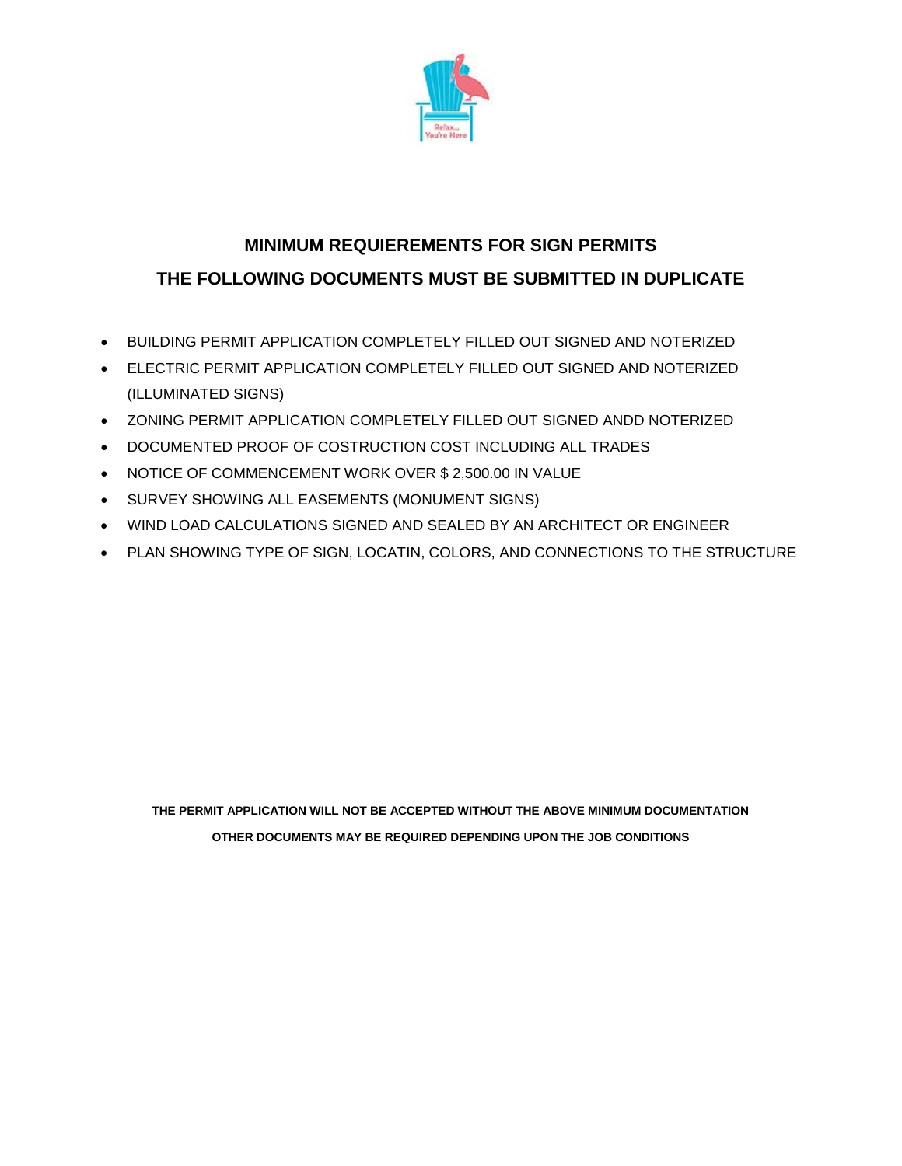

## **MINIMUM REQUIEREMENTS FOR SIGN PERMITS THE FOLLOWING DOCUMENTS MUST BE SUBMITTED IN DUPLICATE**

- BUILDING PERMIT APPLICATION COMPLETELY FILLED OUT SIGNED AND NOTERIZED
- ELECTRIC PERMIT APPLICATION COMPLETELY FILLED OUT SIGNED AND NOTERIZED (ILLUMINATED SIGNS)
- ZONING PERMIT APPLICATION COMPLETELY FILLED OUT SIGNED ANDD NOTERIZED
- DOCUMENTED PROOF OF COSTRUCTION COST INCLUDING ALL TRADES
- NOTICE OF COMMENCEMENT WORK OVER \$ 2,500.00 IN VALUE
- SURVEY SHOWING ALL EASEMENTS (MONUMENT SIGNS)
- WIND LOAD CALCULATIONS SIGNED AND SEALED BY AN ARCHITECT OR ENGINEER
- PLAN SHOWING TYPE OF SIGN, LOCATIN, COLORS, AND CONNECTIONS TO THE STRUCTURE

**THE PERMIT APPLICATION WILL NOT BE ACCEPTED WITHOUT THE ABOVE MINIMUM DOCUMENTATION OTHER DOCUMENTS MAY BE REQUIRED DEPENDING UPON THE JOB CONDITIONS**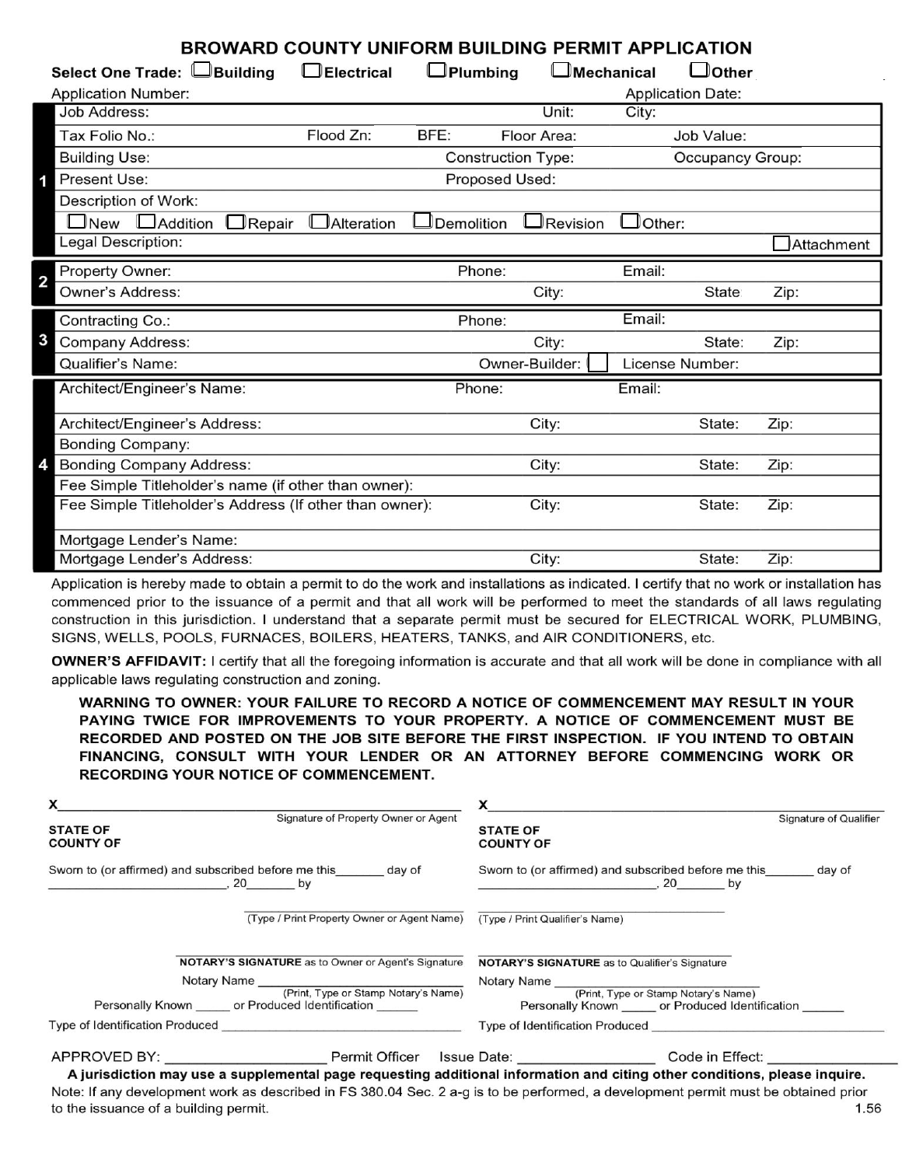| <b>BROWARD COUNTY UNIFORM BUILDING PERMIT APPLICATION</b>  |                   |                           |                     |                      |                          |            |
|------------------------------------------------------------|-------------------|---------------------------|---------------------|----------------------|--------------------------|------------|
| Select One Trade: UBuilding                                | $\Box$ Electrical | $\Box$ Plumbing           | <b>L</b> Mechanical |                      | $\Box$ Other             |            |
| <b>Application Number:</b>                                 |                   |                           |                     |                      | <b>Application Date:</b> |            |
| Job Address:                                               |                   |                           | Unit:               | City:                |                          |            |
| Tax Folio No.:                                             | Flood Zn:         | BFE:                      | Floor Area:         |                      | Job Value:               |            |
| <b>Building Use:</b>                                       |                   | <b>Construction Type:</b> |                     |                      | Occupancy Group:         |            |
| Present Use:                                               |                   | Proposed Used:            |                     |                      |                          |            |
| Description of Work:                                       |                   |                           |                     |                      |                          |            |
| □New □ Addition<br>$\Box$ Repair                           | Alteration        | Demolition                | Revision            | $\mathsf{\_}$ Other: |                          |            |
| Legal Description:                                         |                   |                           |                     |                      |                          | Attachment |
| Property Owner:                                            |                   | Phone:                    |                     | Email:               |                          |            |
| 2<br>Owner's Address:                                      |                   |                           | City:               |                      | <b>State</b>             | Zip:       |
|                                                            |                   |                           |                     |                      |                          |            |
| Contracting Co.:                                           |                   | Phone:                    |                     | Email:               |                          |            |
| 3<br>Company Address:                                      |                   |                           | City:               |                      | State:                   | Zip:       |
| Qualifier's Name:                                          |                   |                           | Owner-Builder:      |                      | License Number:          |            |
| Architect/Engineer's Name:                                 |                   | Phone:                    |                     | Email:               |                          |            |
|                                                            |                   |                           |                     |                      | State:                   |            |
| Architect/Engineer's Address:                              |                   |                           | City:               |                      |                          | Zip:       |
| <b>Bonding Company:</b><br><b>Bonding Company Address:</b> |                   |                           | City:               |                      | State:                   | Zip:       |
| Fee Simple Titleholder's name (if other than owner):       |                   |                           |                     |                      |                          |            |
| Fee Simple Titleholder's Address (If other than owner):    |                   |                           | City:               |                      | State:                   | Zip:       |
| Mortgage Lender's Name:                                    |                   |                           |                     |                      |                          |            |

Application is hereby made to obtain a permit to do the work and installations as indicated. I certify that no work or installation has commenced prior to the issuance of a permit and that all work will be performed to meet the standards of all laws regulating construction in this jurisdiction. I understand that a separate permit must be secured for ELECTRICAL WORK, PLUMBING, SIGNS, WELLS, POOLS, FURNACES, BOILERS, HEATERS, TANKS, and AIR CONDITIONERS, etc.

**OWNER'S AFFIDAVIT:** I certify that all the foregoing information is accurate and that all work will be done in compliance with all applicable laws regulating construction and zoning.

WARNING TO OWNER: YOUR FAILURE TO RECORD A NOTICE OF COMMENCEMENT MAY RESULT IN YOUR PAYING TWICE FOR IMPROVEMENTS TO YOUR PROPERTY. A NOTICE OF COMMENCEMENT MUST BE RECORDED AND POSTED ON THE JOB SITE BEFORE THE FIRST INSPECTION. IF YOU INTEND TO OBTAIN FINANCING, CONSULT WITH YOUR LENDER OR AN ATTORNEY BEFORE COMMENCING WORK OR **RECORDING YOUR NOTICE OF COMMENCEMENT.** 

| $\boldsymbol{\mathsf{X}}$                                                           |                                                                                     |
|-------------------------------------------------------------------------------------|-------------------------------------------------------------------------------------|
| Signature of Property Owner or Agent<br><b>STATE OF</b><br><b>COUNTY OF</b>         | Signature of Qualifier<br><b>STATE OF</b><br><b>COUNTY OF</b>                       |
| Sworn to (or affirmed) and subscribed before me this _______ day of<br>$, 20$ by    | Sworn to (or affirmed) and subscribed before me this day of<br>$, 20$ by            |
| (Type / Print Property Owner or Agent Name)                                         | (Type / Print Qualifier's Name)                                                     |
| <b>NOTARY'S SIGNATURE</b> as to Owner or Agent's Signature                          | <b>NOTARY'S SIGNATURE</b> as to Qualifier's Signature                               |
| Notary Name                                                                         |                                                                                     |
| (Print, Type or Stamp Notary's Name)<br>Personally Known or Produced Identification | (Print, Type or Stamp Notary's Name)<br>Personally Known or Produced Identification |
| Type of Identification Produced <b>Example 2018</b>                                 | Type of Identification Produced <b>Example 20</b>                                   |
| APPROVED BY:<br>Permit Officer                                                      | Code in Effect:<br>Issue Date:                                                      |

A jurisdiction may use a supplemental page requesting additional information and citing other conditions, please inquire. Note: If any development work as described in FS 380.04 Sec. 2 a-g is to be performed, a development permit must be obtained prior to the issuance of a building permit. 1.56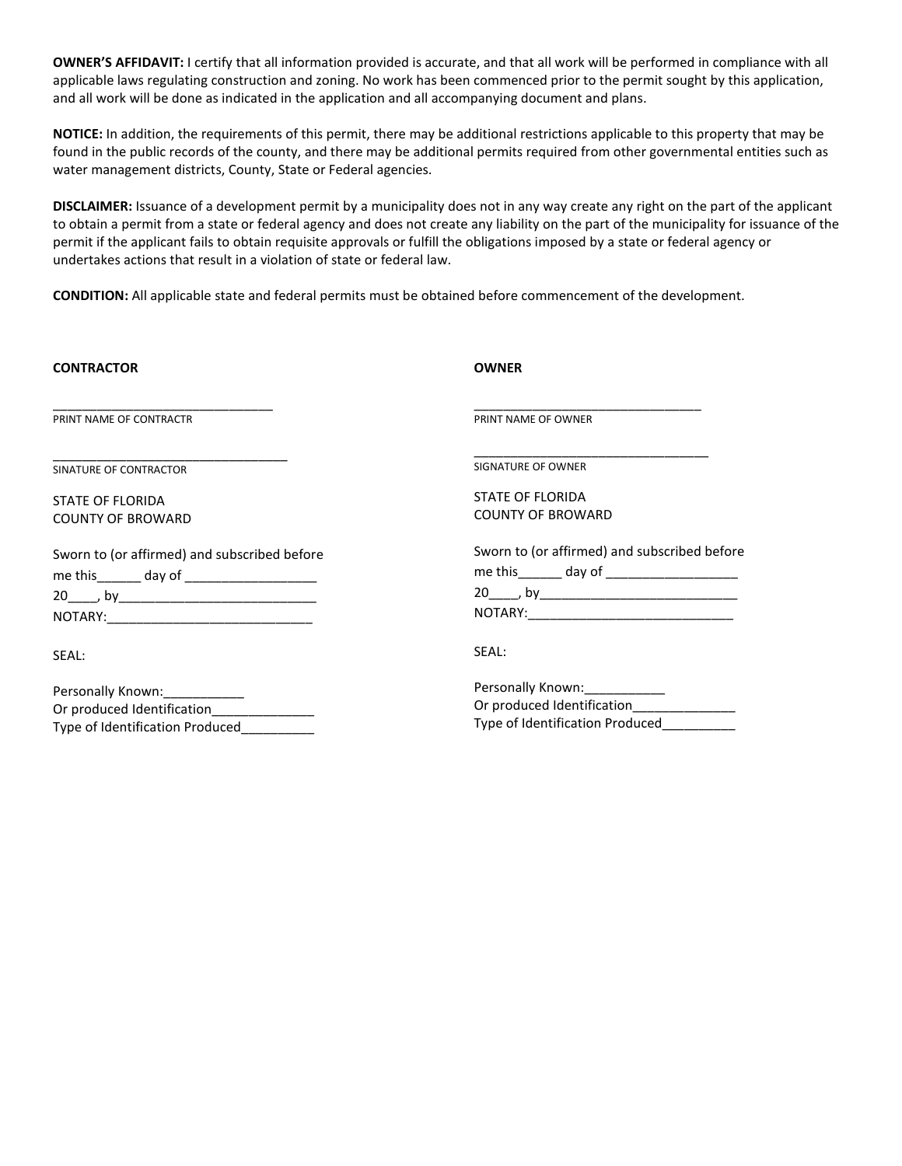**OWNER'S AFFIDAVIT:** I certify that all information provided is accurate, and that all work will be performed in compliance with all applicable laws regulating construction and zoning. No work has been commenced prior to the permit sought by this application, and all work will be done as indicated in the application and all accompanying document and plans.

**NOTICE:** In addition, the requirements of this permit, there may be additional restrictions applicable to this property that may be found in the public records of the county, and there may be additional permits required from other governmental entities such as water management districts, County, State or Federal agencies.

**DISCLAIMER:** Issuance of a development permit by a municipality does not in any way create any right on the part of the applicant to obtain a permit from a state or federal agency and does not create any liability on the part of the municipality for issuance of the permit if the applicant fails to obtain requisite approvals or fulfill the obligations imposed by a state or federal agency or undertakes actions that result in a violation of state or federal law.

**CONDITION:** All applicable state and federal permits must be obtained before commencement of the development.

| <b>CONTRACTOR</b>                                           | <b>OWNER</b>                                 |
|-------------------------------------------------------------|----------------------------------------------|
| PRINT NAME OF CONTRACTR                                     | PRINT NAME OF OWNER                          |
| SINATURE OF CONTRACTOR                                      | SIGNATURE OF OWNER                           |
| <b>STATE OF FLORIDA</b>                                     | <b>STATE OF FLORIDA</b>                      |
| <b>COUNTY OF BROWARD</b>                                    | <b>COUNTY OF BROWARD</b>                     |
| Sworn to (or affirmed) and subscribed before                | Sworn to (or affirmed) and subscribed before |
| me this _______ day of _____________________                | me this ______ day of __________________     |
|                                                             | $20$ by $\qquad \qquad$ by                   |
|                                                             |                                              |
| SEAL:                                                       | SEAL:                                        |
|                                                             | Personally Known: 2008                       |
|                                                             |                                              |
| Type of Identification Produced____________                 | Type of Identification Produced              |
| Personally Known: ___________<br>Or produced Identification | Or produced Identification________________   |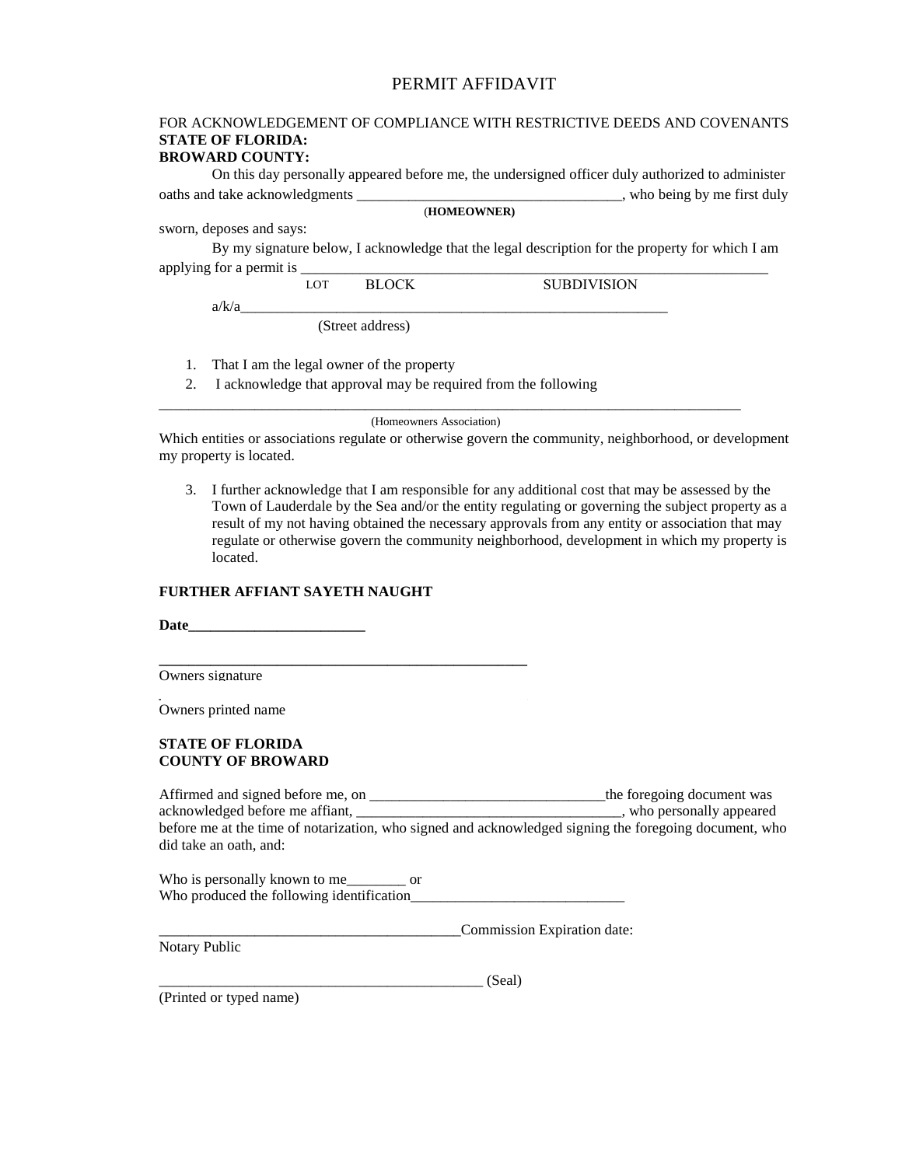#### PERMIT AFFIDAVIT

### FOR ACKNOWLEDGEMENT OF COMPLIANCE WITH RESTRICTIVE DEEDS AND COVENANTS **STATE OF FLORIDA:**

#### **BROWARD COUNTY:**

On this day personally appeared before me, the undersigned officer duly authorized to administer oaths and take acknowledgments \_\_\_\_\_\_\_\_\_\_\_\_\_\_\_\_\_\_\_\_\_\_\_\_\_\_\_\_\_\_\_\_, who being by me first duly (**HOMEOWNER)**

sworn, deposes and says:

By my signature below, I acknowledge that the legal description for the property for which I am applying for a permit is \_

LOT BLOCK SUBDIVISION

a/k/a\_\_\_\_\_\_\_\_\_\_\_\_\_\_\_\_\_\_\_\_\_\_\_\_\_\_\_\_\_\_\_\_\_\_\_\_\_\_\_\_\_\_\_\_\_\_\_\_\_\_\_\_\_\_\_\_\_\_

(Street address)

- 1. That I am the legal owner of the property
- 2. I acknowledge that approval may be required from the following

(Homeowners Association)

\_\_\_\_\_\_\_\_\_\_\_\_\_\_\_\_\_\_\_\_\_\_\_\_\_\_\_\_\_\_\_\_\_\_\_\_\_\_\_\_\_\_\_\_\_\_\_\_\_\_\_\_\_\_\_\_\_\_\_\_\_\_\_\_\_\_\_\_\_\_\_\_\_\_\_\_\_\_\_

Which entities or associations regulate or otherwise govern the community, neighborhood, or development my property is located.

3. I further acknowledge that I am responsible for any additional cost that may be assessed by the Town of Lauderdale by the Sea and/or the entity regulating or governing the subject property as a result of my not having obtained the necessary approvals from any entity or association that may regulate or otherwise govern the community neighborhood, development in which my property is located.

#### **FURTHER AFFIANT SAYETH NAUGHT**

**\_\_\_\_\_\_\_\_\_\_\_\_\_\_\_\_\_\_\_\_\_\_\_\_\_\_\_\_\_\_\_\_\_\_\_\_\_\_\_\_\_\_\_\_\_\_\_\_\_\_**

**Date\_\_\_\_\_\_\_\_\_\_\_\_\_\_\_\_\_\_\_\_\_\_\_\_**

Owners signature

**\_\_\_\_\_\_\_\_\_\_\_\_\_\_\_\_\_\_\_\_\_\_\_\_\_\_\_\_\_\_\_\_\_\_\_\_\_\_\_\_\_\_\_\_\_\_\_\_\_\_** Owners printed name

#### **STATE OF FLORIDA COUNTY OF BROWARD**

Affirmed and signed before me, on \_\_\_\_\_\_\_\_\_\_\_\_\_\_\_\_\_\_\_\_\_\_\_\_\_\_\_\_\_\_\_\_the foregoing document was acknowledged before me affiant, \_\_\_\_\_\_\_\_\_\_\_\_\_\_\_\_\_\_\_\_\_\_\_\_\_\_\_\_\_\_\_\_\_\_\_\_, who personally appeared before me at the time of notarization, who signed and acknowledged signing the foregoing document, who did take an oath, and:

Who is personally known to me\_\_\_\_\_\_\_ or Who produced the following identification\_\_\_\_\_\_\_\_\_\_\_\_\_\_\_\_\_\_\_\_\_\_\_\_\_\_\_\_\_

Notary Public

\_\_\_\_\_\_\_\_\_\_\_\_\_\_\_\_\_\_\_\_\_\_\_\_\_\_\_\_\_\_\_\_\_\_\_\_\_\_\_\_\_Commission Expiration date:

\_\_\_\_\_\_\_\_\_\_\_\_\_\_\_\_\_\_\_\_\_\_\_\_\_\_\_\_\_\_\_\_\_\_\_\_\_\_\_\_\_\_\_\_ (Seal)

(Printed or typed name)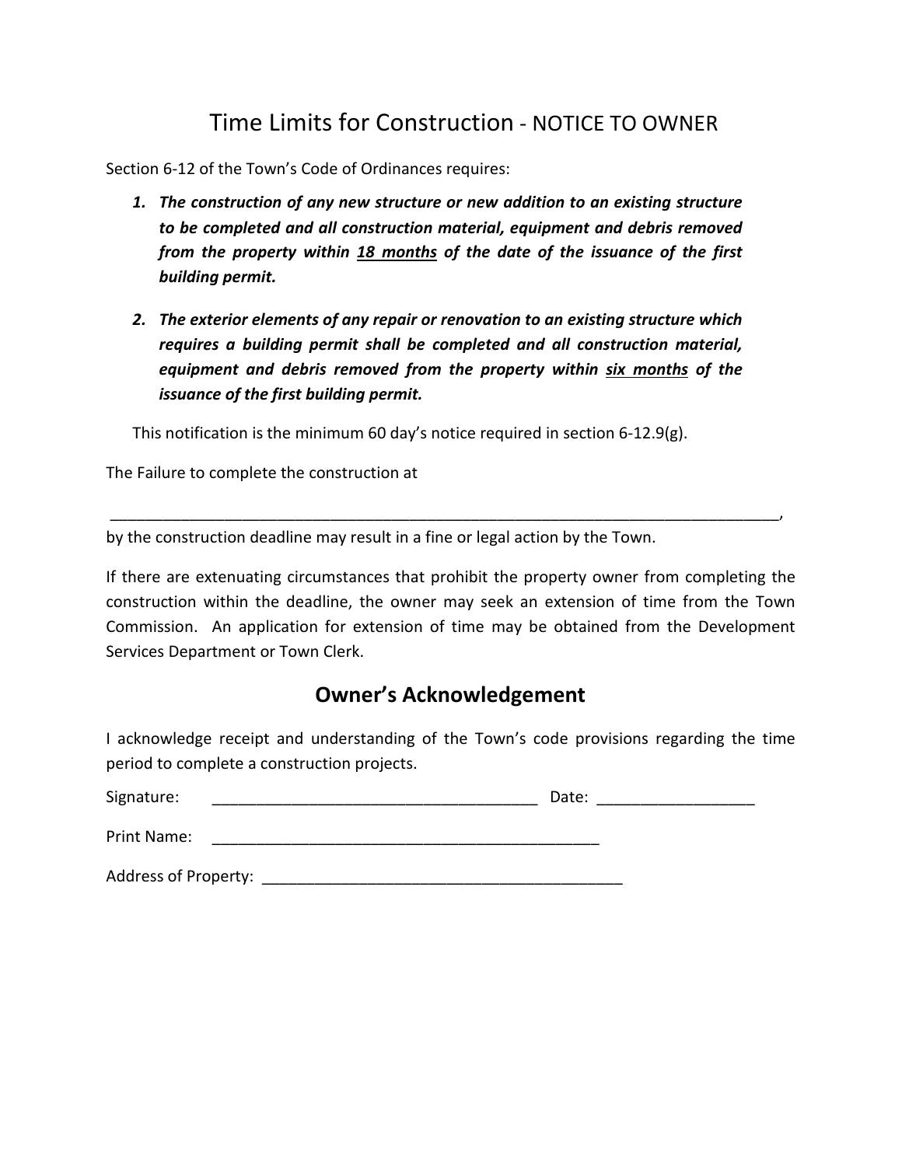## Time Limits for Construction - NOTICE TO OWNER

Section 6-12 of the Town's Code of Ordinances requires:

- *1. The construction of any new structure or new addition to an existing structure to be completed and all construction material, equipment and debris removed from the property within 18 months of the date of the issuance of the first building permit.*
- *2. The exterior elements of any repair or renovation to an existing structure which requires a building permit shall be completed and all construction material, equipment and debris removed from the property within six months of the issuance of the first building permit.*

This notification is the minimum 60 day's notice required in section 6-12.9(g).

The Failure to complete the construction at

by the construction deadline may result in a fine or legal action by the Town.

If there are extenuating circumstances that prohibit the property owner from completing the construction within the deadline, the owner may seek an extension of time from the Town Commission. An application for extension of time may be obtained from the Development Services Department or Town Clerk.

\_\_\_\_\_\_\_\_\_\_\_\_\_\_\_\_\_\_\_\_\_\_\_\_\_\_\_\_\_\_\_\_\_\_\_\_\_\_\_\_\_\_\_\_\_\_\_\_\_\_\_\_\_\_\_\_\_\_\_\_\_\_\_\_\_\_\_\_\_\_\_\_\_\_\_\_,

### **Owner's Acknowledgement**

I acknowledge receipt and understanding of the Town's code provisions regarding the time period to complete a construction projects.

| Signature:                  | Date: |
|-----------------------------|-------|
| Print Name:                 |       |
| <b>Address of Property:</b> |       |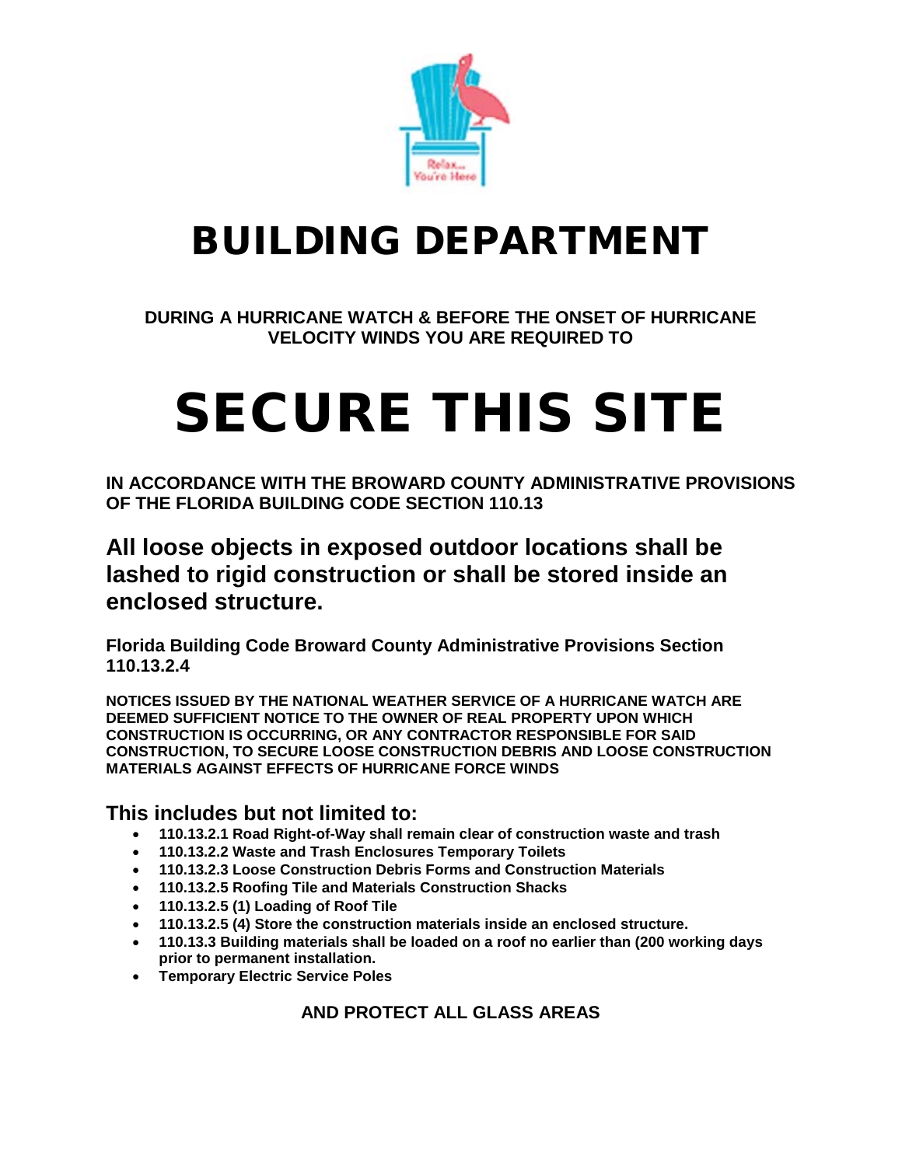

## BUILDING DEPARTMENT

**DURING A HURRICANE WATCH & BEFORE THE ONSET OF HURRICANE VELOCITY WINDS YOU ARE REQUIRED TO**

# SECURE THIS SITE

**IN ACCORDANCE WITH THE BROWARD COUNTY ADMINISTRATIVE PROVISIONS OF THE FLORIDA BUILDING CODE SECTION 110.13** 

**All loose objects in exposed outdoor locations shall be lashed to rigid construction or shall be stored inside an enclosed structure.**

**Florida Building Code Broward County Administrative Provisions Section 110.13.2.4**

**NOTICES ISSUED BY THE NATIONAL WEATHER SERVICE OF A HURRICANE WATCH ARE DEEMED SUFFICIENT NOTICE TO THE OWNER OF REAL PROPERTY UPON WHICH CONSTRUCTION IS OCCURRING, OR ANY CONTRACTOR RESPONSIBLE FOR SAID CONSTRUCTION, TO SECURE LOOSE CONSTRUCTION DEBRIS AND LOOSE CONSTRUCTION MATERIALS AGAINST EFFECTS OF HURRICANE FORCE WINDS**

### **This includes but not limited to:**

- **110.13.2.1 Road Right-of-Way shall remain clear of construction waste and trash**
- **110.13.2.2 Waste and Trash Enclosures Temporary Toilets**
- **110.13.2.3 Loose Construction Debris Forms and Construction Materials**
- **110.13.2.5 Roofing Tile and Materials Construction Shacks**
- **110.13.2.5 (1) Loading of Roof Tile**
- **110.13.2.5 (4) Store the construction materials inside an enclosed structure.**
- **110.13.3 Building materials shall be loaded on a roof no earlier than (200 working days prior to permanent installation.**
- **Temporary Electric Service Poles**

**AND PROTECT ALL GLASS AREAS**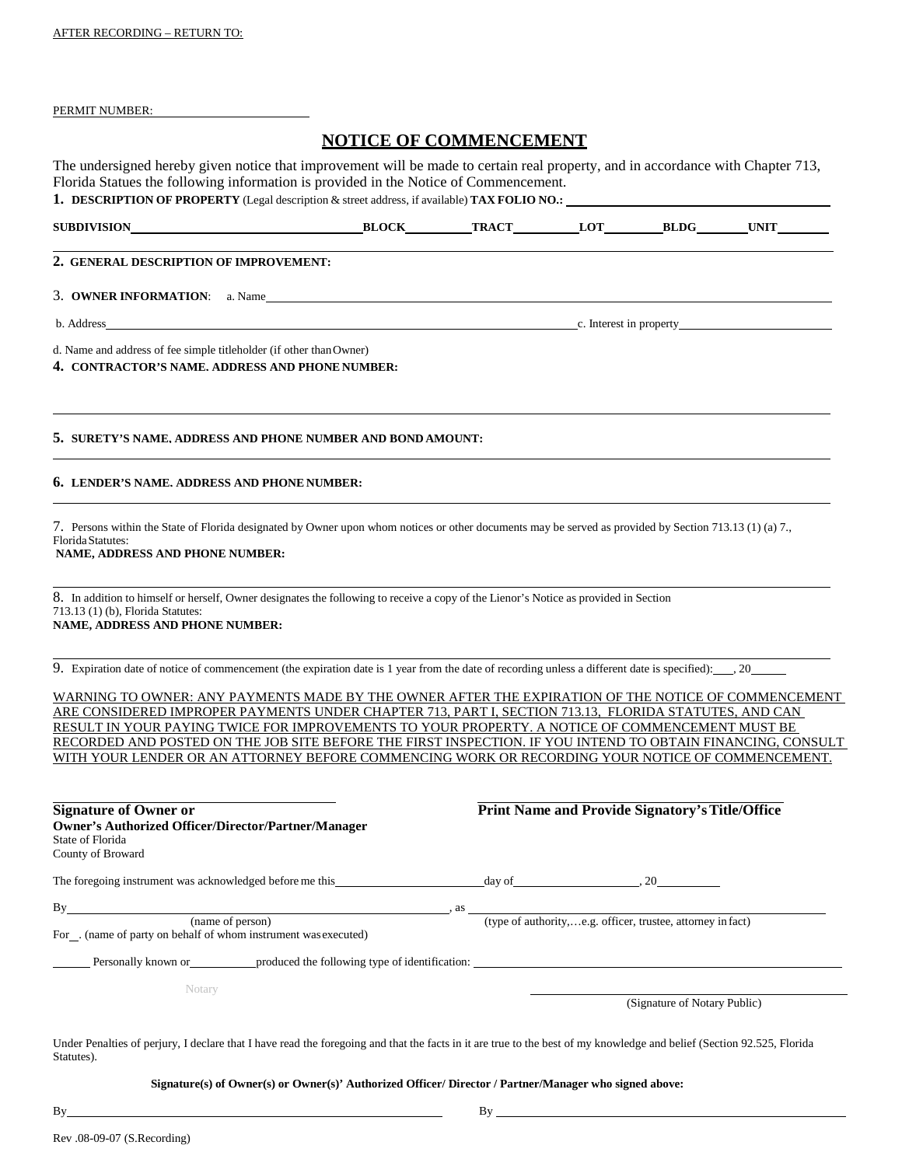#### PERMIT NUMBER:

#### **NOTICE OF COMMENCEMENT**

The undersigned hereby given notice that improvement will be made to certain real property, and in accordance with Chapter 713, Florida Statues the following information is provided in the Notice of Commencement. **1. DESCRIPTION OF PROPERTY** (Legal description & street address, if available) **TAX FOLIO NO.:** 

| SUBDIVISION                                                                                                            | <b>BLOCK</b> | <b>TRACT</b> | <b>LOT</b> | BLDG | <b>UNIT</b> |
|------------------------------------------------------------------------------------------------------------------------|--------------|--------------|------------|------|-------------|
| 2. GENERAL DESCRIPTION OF IMPROVEMENT:                                                                                 |              |              |            |      |             |
| 3. OWNER INFORMATION: a. Name                                                                                          |              |              |            |      |             |
| b. Address c. Interest in property                                                                                     |              |              |            |      |             |
| d. Name and address of fee simple titleholder (if other than Owner)<br>4. CONTRACTOR'S NAME, ADDRESS AND PHONE NUMBER: |              |              |            |      |             |
| 5. SURETY'S NAME, ADDRESS AND PHONE NUMBER AND BOND AMOUNT:                                                            |              |              |            |      |             |

#### **6. LENDER'S NAME, ADDRESS AND PHONE NUMBER:**

7. Persons within the State of Florida designated by Owner upon whom notices or other documents may be served as provided by Section 713.13 (1) (a) 7., FloridaStatutes: **NAME, ADDRESS AND PHONE NUMBER:**

8. In addition to himself or herself, Owner designates the following to receive a copy of the Lienor's Notice as provided in Section 713.13 (1) (b), Florida Statutes: **NAME, ADDRESS AND PHONE NUMBER:**

9. Expiration date of notice of commencement (the expiration date is 1 year from the date of recording unless a different date is specified): , 20

WARNING TO OWNER: ANY PAYMENTS MADE BY THE OWNER AFTER THE EXPIRATION OF THE NOTICE OF COMMENCEMENT ARE CONSIDERED IMPROPER PAYMENTS UNDER CHAPTER 713, PART I, SECTION 713.13, FLORIDA STATUTES, AND CAN RESULT IN YOUR PAYING TWICE FOR IMPROVEMENTS TO YOUR PROPERTY. A NOTICE OF COMMENCEMENT MUST BE RECORDED AND POSTED ON THE JOB SITE BEFORE THE FIRST INSPECTION. IF YOU INTEND TO OBTAIN FINANCING, CONSULT WITH YOUR LENDER OR AN ATTORNEY BEFORE COMMENCING WORK OR RECORDING YOUR NOTICE OF COMMENCEMENT.

| <b>Signature of Owner or</b><br>State of Florida<br>County of Broward | <b>Owner's Authorized Officer/Director/Partner/Manager</b>                                                                                                            |                                                             | <b>Print Name and Provide Signatory's Title/Office</b> |  |  |  |
|-----------------------------------------------------------------------|-----------------------------------------------------------------------------------------------------------------------------------------------------------------------|-------------------------------------------------------------|--------------------------------------------------------|--|--|--|
|                                                                       | The foregoing instrument was acknowledged before me this                                                                                                              | $day of$ $\qquad \qquad .20$                                |                                                        |  |  |  |
| By                                                                    | . as<br>(name of person)<br>For. (name of party on behalf of whom instrument was executed)                                                                            | (type of authority,e.g. officer, trustee, attorney in fact) |                                                        |  |  |  |
|                                                                       | Personally known or produced the following type of identification:                                                                                                    |                                                             |                                                        |  |  |  |
| Notary                                                                |                                                                                                                                                                       |                                                             | (Signature of Notary Public)                           |  |  |  |
|                                                                       | Under Penalties of periury I declare that I have read the foregoing and that the facts in it are true to the best of my knowledge and belief (Section 02.525. Florida |                                                             |                                                        |  |  |  |

have read the foregoing and that the facts in it are true to the best of my knowledge and belief (Section 92.525, Flor Statutes).

#### **Signature(s) of Owner(s) or Owner(s)' Authorized Officer/ Director / Partner/Manager who signed above:**

By By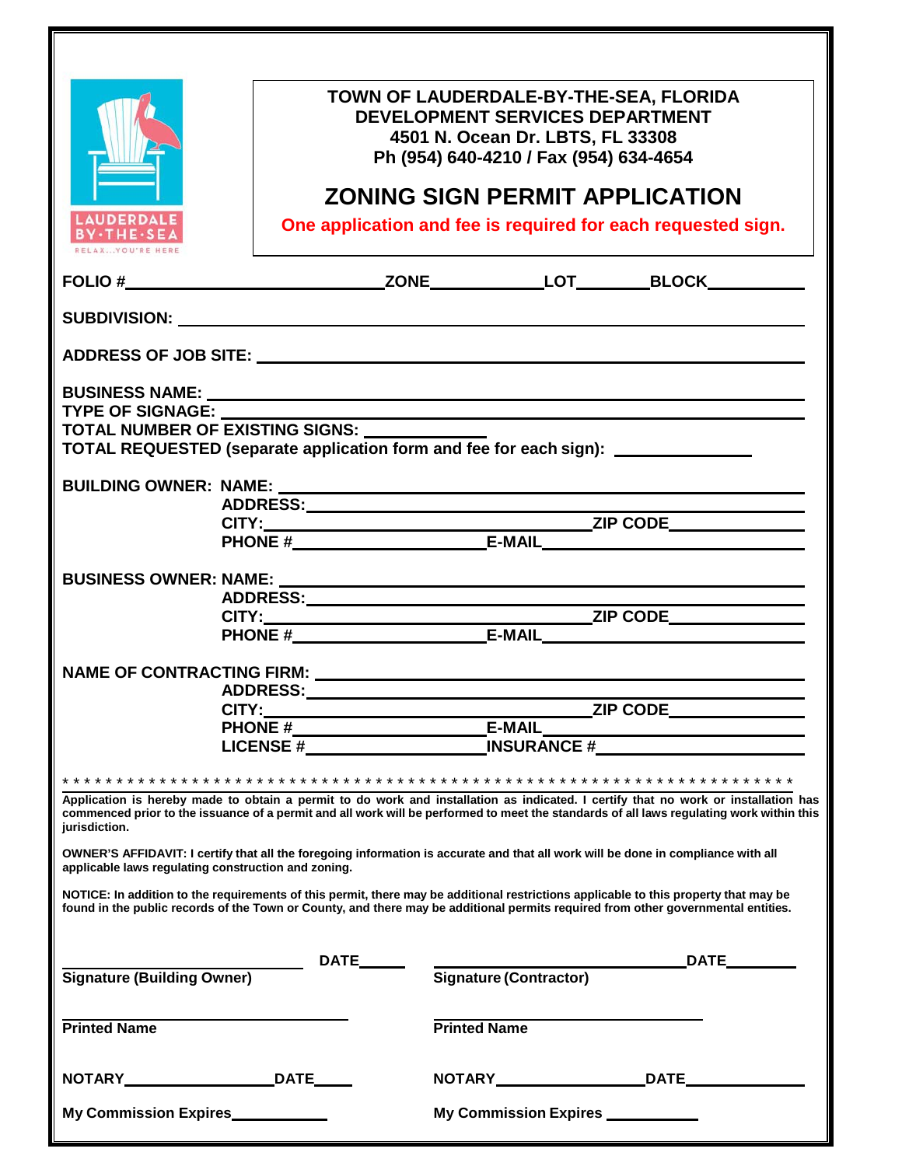|                                                                                                                                                                                                                                                                                                                                  | <b>DEVELOPMENT SERVICES DEPARTMENT</b><br>4501 N. Ocean Dr. LBTS, FL 33308<br>Ph (954) 640-4210 / Fax (954) 634-4654 | TOWN OF LAUDERDALE-BY-THE-SEA, FLORIDA<br><b>ZONING SIGN PERMIT APPLICATION</b>                                                                                                                                                                                                |
|----------------------------------------------------------------------------------------------------------------------------------------------------------------------------------------------------------------------------------------------------------------------------------------------------------------------------------|----------------------------------------------------------------------------------------------------------------------|--------------------------------------------------------------------------------------------------------------------------------------------------------------------------------------------------------------------------------------------------------------------------------|
| <b>LAUDERDALE</b><br><b>BY-THE-SEA</b>                                                                                                                                                                                                                                                                                           |                                                                                                                      | One application and fee is required for each requested sign.                                                                                                                                                                                                                   |
|                                                                                                                                                                                                                                                                                                                                  |                                                                                                                      |                                                                                                                                                                                                                                                                                |
| SUBDIVISION: WebSubstitute of the contract of the contract of the contract of the contract of the contract of the contract of the contract of the contract of the contract of the contract of the contract of the contract of                                                                                                    |                                                                                                                      |                                                                                                                                                                                                                                                                                |
|                                                                                                                                                                                                                                                                                                                                  |                                                                                                                      |                                                                                                                                                                                                                                                                                |
| TYPE OF SIGNAGE: _______<br>TOTAL NUMBER OF EXISTING SIGNS:<br>TOTAL REQUESTED (separate application form and fee for each sign):                                                                                                                                                                                                |                                                                                                                      |                                                                                                                                                                                                                                                                                |
|                                                                                                                                                                                                                                                                                                                                  |                                                                                                                      |                                                                                                                                                                                                                                                                                |
|                                                                                                                                                                                                                                                                                                                                  |                                                                                                                      |                                                                                                                                                                                                                                                                                |
|                                                                                                                                                                                                                                                                                                                                  |                                                                                                                      |                                                                                                                                                                                                                                                                                |
| jurisdiction.<br>OWNER'S AFFIDAVIT: I certify that all the foregoing information is accurate and that all work will be done in compliance with all                                                                                                                                                                               |                                                                                                                      | Application is hereby made to obtain a permit to do work and installation as indicated. I certify that no work or installation has<br>commenced prior to the issuance of a permit and all work will be performed to meet the standards of all laws regulating work within this |
| applicable laws regulating construction and zoning.<br>NOTICE: In addition to the requirements of this permit, there may be additional restrictions applicable to this property that may be<br>found in the public records of the Town or County, and there may be additional permits required from other governmental entities. |                                                                                                                      |                                                                                                                                                                                                                                                                                |
| Signature (Building Owner)                                                                                                                                                                                                                                                                                                       |                                                                                                                      |                                                                                                                                                                                                                                                                                |
| <b>Printed Name</b>                                                                                                                                                                                                                                                                                                              | <b>Printed Name</b>                                                                                                  |                                                                                                                                                                                                                                                                                |
|                                                                                                                                                                                                                                                                                                                                  |                                                                                                                      |                                                                                                                                                                                                                                                                                |
| My Commission Expires                                                                                                                                                                                                                                                                                                            |                                                                                                                      | My Commission Expires ____________                                                                                                                                                                                                                                             |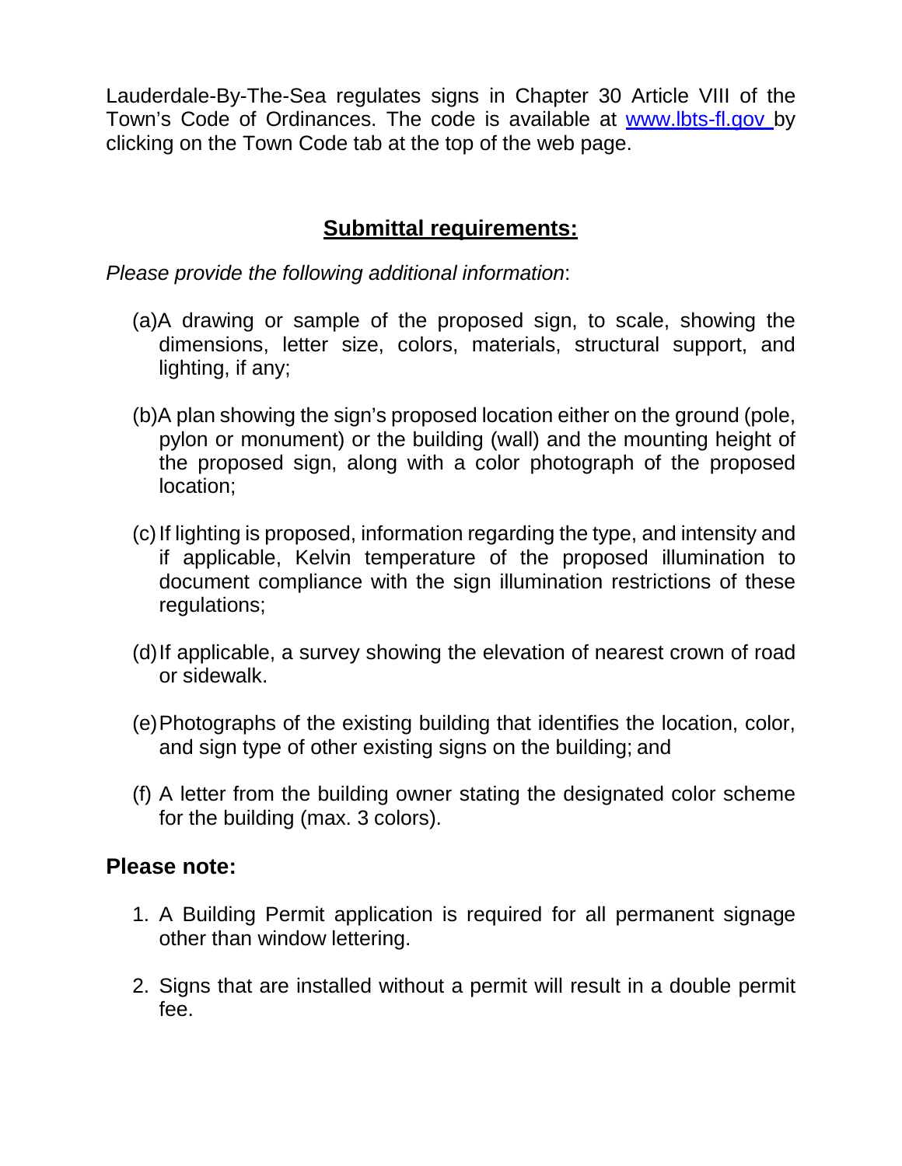Lauderdale-By-The-Sea regulates signs in Chapter 30 Article VIII of the Town's Code of Ordinances. The code is available at [www.lbts-fl.gov b](http://www.lbts-fl.gov/)y clicking on the Town Code tab at the top of the web page.

## **Submittal requirements:**

*Please provide the following additional information*:

- (a)A drawing or sample of the proposed sign, to scale, showing the dimensions, letter size, colors, materials, structural support, and lighting, if any;
- (b)A plan showing the sign's proposed location either on the ground (pole, pylon or monument) or the building (wall) and the mounting height of the proposed sign, along with a color photograph of the proposed location;
- (c)If lighting is proposed, information regarding the type, and intensity and if applicable, Kelvin temperature of the proposed illumination to document compliance with the sign illumination restrictions of these regulations;
- (d)If applicable, a survey showing the elevation of nearest crown of road or sidewalk.
- (e)Photographs of the existing building that identifies the location, color, and sign type of other existing signs on the building; and
- (f) A letter from the building owner stating the designated color scheme for the building (max. 3 colors).

## **Please note:**

- 1. A Building Permit application is required for all permanent signage other than window lettering.
- 2. Signs that are installed without a permit will result in a double permit fee.